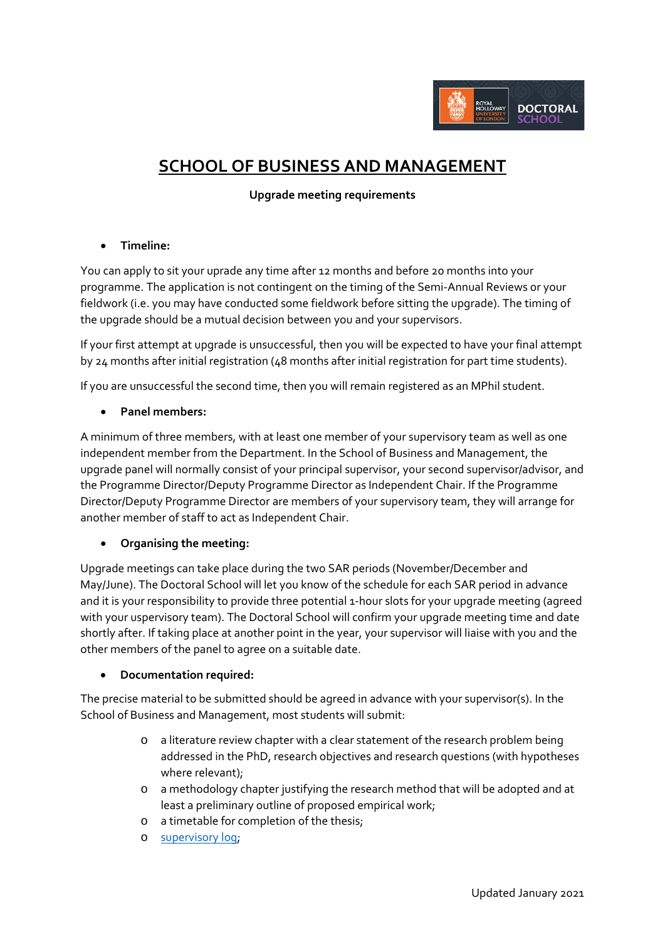

# **SCHOOL OF BUSINESS AND MANAGEMENT**

## **Upgrade meeting requirements**

### • **Timeline:**

You can apply to sit your uprade any time after 12 months and before 20 months into your programme. The application is not contingent on the timing of the Semi-Annual Reviews or your fieldwork (i.e. you may have conducted some fieldwork before sitting the upgrade). The timing of the upgrade should be a mutual decision between you and your supervisors.

If your first attempt at upgrade is unsuccessful, then you will be expected to have your final attempt by 24 months after initial registration (48 months after initial registration for part time students).

If you are unsuccessful the second time, then you will remain registered as an MPhil student.

### • **Panel members:**

A minimum of three members, with at least one member of your supervisory team as well as one independent member from the Department. In the School of Business and Management, the upgrade panel will normally consist of your principal supervisor, your second supervisor/advisor, and the Programme Director/Deputy Programme Director as Independent Chair. If the Programme Director/Deputy Programme Director are members of your supervisory team, they will arrange for another member of staff to act as Independent Chair.

# • **Organising the meeting:**

Upgrade meetings can take place during the two SAR periods (November/December and May/June). The Doctoral School will let you know of the schedule for each SAR period in advance and it is your responsibility to provide three potential 1-hour slots for your upgrade meeting (agreed with your uspervisory team). The Doctoral School will confirm your upgrade meeting time and date shortly after. If taking place at another point in the year, your supervisor will liaise with you and the other members of the panel to agree on a suitable date.

#### • **Documentation required:**

The precise material to be submitted should be agreed in advance with your supervisor(s). In the School of Business and Management, most students will submit:

- o a literature review chapter with a clear statement of the research problem being addressed in the PhD, research objectives and research questions (with hypotheses where relevant);
- o a methodology chapter justifying the research method that will be adopted and at least a preliminary outline of proposed empirical work;
- o a timetable for completion of the thesis;
- o [supervisory log;](https://intranet.royalholloway.ac.uk/doctoral-school/assets/docs/doc/pgr-record-of-supervisor-contacts.docx)